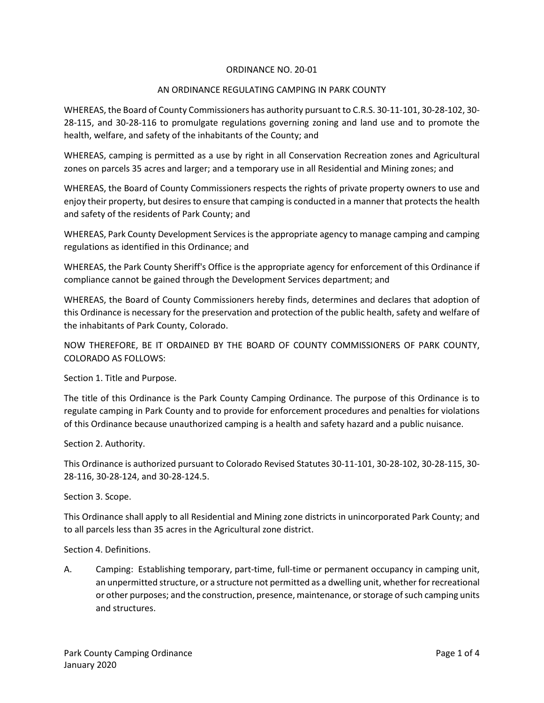## ORDINANCE NO. 20-01

## AN ORDINANCE REGULATING CAMPING IN PARK COUNTY

WHEREAS, the Board of County Commissioners has authority pursuant to C.R.S. 30-11-101, 30-28-102, 30- 28-115, and 30-28-116 to promulgate regulations governing zoning and land use and to promote the health, welfare, and safety of the inhabitants of the County; and

WHEREAS, camping is permitted as a use by right in all Conservation Recreation zones and Agricultural zones on parcels 35 acres and larger; and a temporary use in all Residential and Mining zones; and

WHEREAS, the Board of County Commissioners respects the rights of private property owners to use and enjoy their property, but desires to ensure that camping is conducted in a manner that protects the health and safety of the residents of Park County; and

WHEREAS, Park County Development Services is the appropriate agency to manage camping and camping regulations as identified in this Ordinance; and

WHEREAS, the Park County Sheriff's Office is the appropriate agency for enforcement of this Ordinance if compliance cannot be gained through the Development Services department; and

WHEREAS, the Board of County Commissioners hereby finds, determines and declares that adoption of this Ordinance is necessary for the preservation and protection of the public health, safety and welfare of the inhabitants of Park County, Colorado.

NOW THEREFORE, BE IT ORDAINED BY THE BOARD OF COUNTY COMMISSIONERS OF PARK COUNTY, COLORADO AS FOLLOWS:

Section 1. Title and Purpose.

The title of this Ordinance is the Park County Camping Ordinance. The purpose of this Ordinance is to regulate camping in Park County and to provide for enforcement procedures and penalties for violations of this Ordinance because unauthorized camping is a health and safety hazard and a public nuisance.

Section 2. Authority.

This Ordinance is authorized pursuant to Colorado Revised Statutes 30-11-101, 30-28-102, 30-28-115, 30- 28-116, 30-28-124, and 30-28-124.5.

Section 3. Scope.

This Ordinance shall apply to all Residential and Mining zone districts in unincorporated Park County; and to all parcels less than 35 acres in the Agricultural zone district.

Section 4. Definitions.

A. Camping: Establishing temporary, part-time, full-time or permanent occupancy in camping unit, an unpermitted structure, or a structure not permitted as a dwelling unit, whether for recreational or other purposes; and the construction, presence, maintenance, or storage of such camping units and structures.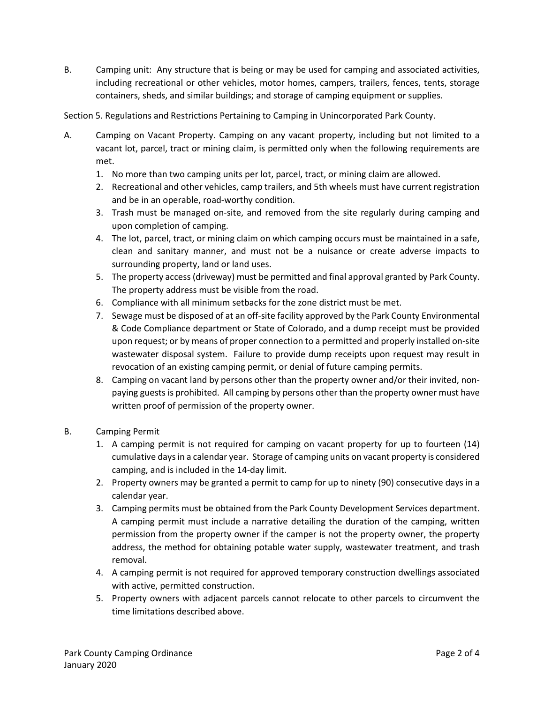B. Camping unit: Any structure that is being or may be used for camping and associated activities, including recreational or other vehicles, motor homes, campers, trailers, fences, tents, storage containers, sheds, and similar buildings; and storage of camping equipment or supplies.

Section 5. Regulations and Restrictions Pertaining to Camping in Unincorporated Park County.

- A. Camping on Vacant Property. Camping on any vacant property, including but not limited to a vacant lot, parcel, tract or mining claim, is permitted only when the following requirements are met.
	- 1. No more than two camping units per lot, parcel, tract, or mining claim are allowed.
	- 2. Recreational and other vehicles, camp trailers, and 5th wheels must have current registration and be in an operable, road-worthy condition.
	- 3. Trash must be managed on-site, and removed from the site regularly during camping and upon completion of camping.
	- 4. The lot, parcel, tract, or mining claim on which camping occurs must be maintained in a safe, clean and sanitary manner, and must not be a nuisance or create adverse impacts to surrounding property, land or land uses.
	- 5. The property access (driveway) must be permitted and final approval granted by Park County. The property address must be visible from the road.
	- 6. Compliance with all minimum setbacks for the zone district must be met.
	- 7. Sewage must be disposed of at an off-site facility approved by the Park County Environmental & Code Compliance department or State of Colorado, and a dump receipt must be provided upon request; or by means of proper connection to a permitted and properly installed on-site wastewater disposal system. Failure to provide dump receipts upon request may result in revocation of an existing camping permit, or denial of future camping permits.
	- 8. Camping on vacant land by persons other than the property owner and/or their invited, nonpaying guests is prohibited. All camping by persons other than the property owner must have written proof of permission of the property owner.
- B. Camping Permit
	- 1. A camping permit is not required for camping on vacant property for up to fourteen (14) cumulative daysin a calendar year. Storage of camping units on vacant property is considered camping, and is included in the 14-day limit.
	- 2. Property owners may be granted a permit to camp for up to ninety (90) consecutive days in a calendar year.
	- 3. Camping permits must be obtained from the Park County Development Services department. A camping permit must include a narrative detailing the duration of the camping, written permission from the property owner if the camper is not the property owner, the property address, the method for obtaining potable water supply, wastewater treatment, and trash removal.
	- 4. A camping permit is not required for approved temporary construction dwellings associated with active, permitted construction.
	- 5. Property owners with adjacent parcels cannot relocate to other parcels to circumvent the time limitations described above.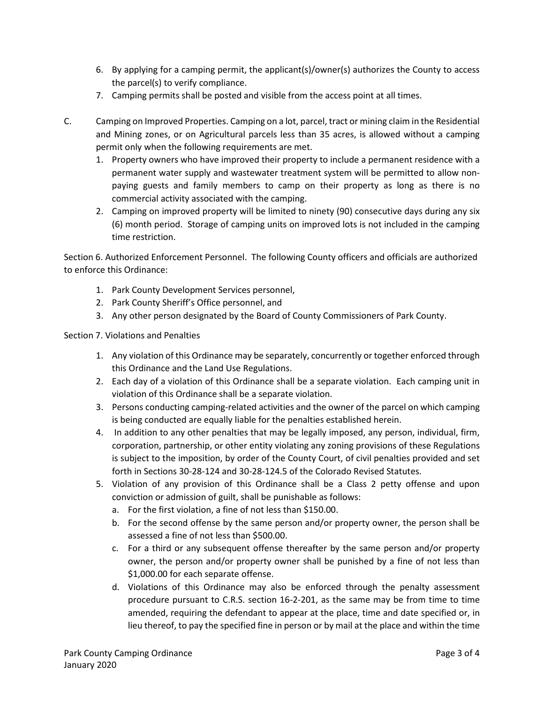- 6. By applying for a camping permit, the applicant(s)/owner(s) authorizes the County to access the parcel(s) to verify compliance.
- 7. Camping permits shall be posted and visible from the access point at all times.
- C. Camping on Improved Properties. Camping on a lot, parcel, tract or mining claim in the Residential and Mining zones, or on Agricultural parcels less than 35 acres, is allowed without a camping permit only when the following requirements are met.
	- 1. Property owners who have improved their property to include a permanent residence with a permanent water supply and wastewater treatment system will be permitted to allow nonpaying guests and family members to camp on their property as long as there is no commercial activity associated with the camping.
	- 2. Camping on improved property will be limited to ninety (90) consecutive days during any six (6) month period. Storage of camping units on improved lots is not included in the camping time restriction.

Section 6. Authorized Enforcement Personnel. The following County officers and officials are authorized to enforce this Ordinance:

- 1. Park County Development Services personnel,
- 2. Park County Sheriff's Office personnel, and
- 3. Any other person designated by the Board of County Commissioners of Park County.

Section 7. Violations and Penalties

- 1. Any violation of this Ordinance may be separately, concurrently or together enforced through this Ordinance and the Land Use Regulations.
- 2. Each day of a violation of this Ordinance shall be a separate violation. Each camping unit in violation of this Ordinance shall be a separate violation.
- 3. Persons conducting camping-related activities and the owner of the parcel on which camping is being conducted are equally liable for the penalties established herein.
- 4. In addition to any other penalties that may be legally imposed, any person, individual, firm, corporation, partnership, or other entity violating any zoning provisions of these Regulations is subject to the imposition, by order of the County Court, of civil penalties provided and set forth in Sections 30-28-124 and 30-28-124.5 of the Colorado Revised Statutes.
- 5. Violation of any provision of this Ordinance shall be a Class 2 petty offense and upon conviction or admission of guilt, shall be punishable as follows:
	- a. For the first violation, a fine of not less than \$150.00.
	- b. For the second offense by the same person and/or property owner, the person shall be assessed a fine of not less than \$500.00.
	- c. For a third or any subsequent offense thereafter by the same person and/or property owner, the person and/or property owner shall be punished by a fine of not less than \$1,000.00 for each separate offense.
	- d. Violations of this Ordinance may also be enforced through the penalty assessment procedure pursuant to C.R.S. section 16-2-201, as the same may be from time to time amended, requiring the defendant to appear at the place, time and date specified or, in lieu thereof, to pay the specified fine in person or by mail at the place and within the time